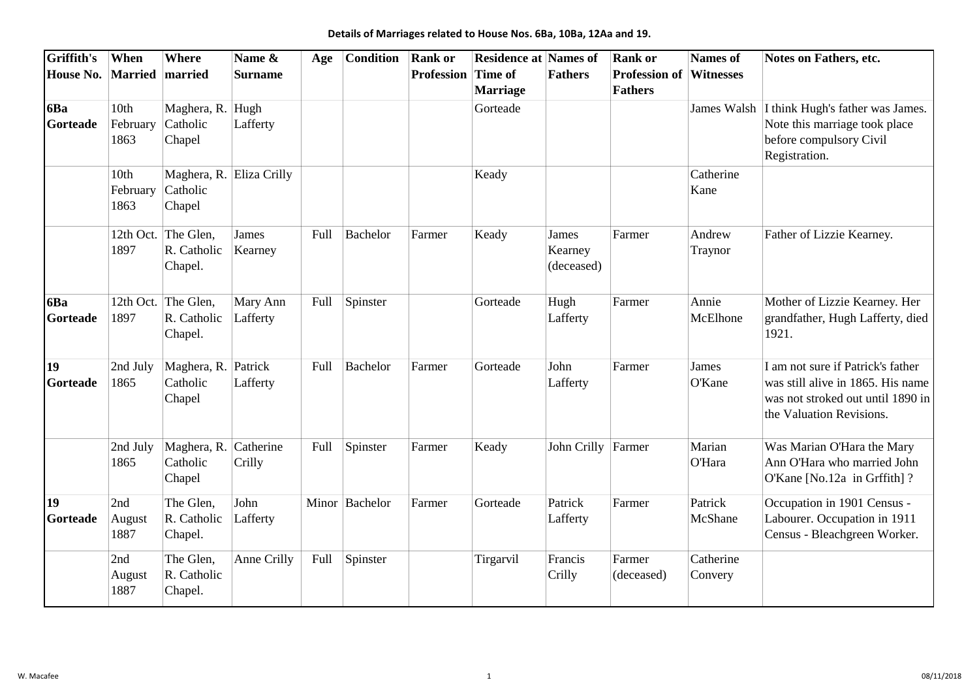| Griffith's            | When                     | <b>Where</b>                                  | Name &                   | Age  | <b>Condition</b> | <b>Rank or</b>            | <b>Residence at Names of</b> |                                | <b>Rank or</b>                         | <b>Names</b> of         | Notes on Fathers, etc.                                                                                                                  |
|-----------------------|--------------------------|-----------------------------------------------|--------------------------|------|------------------|---------------------------|------------------------------|--------------------------------|----------------------------------------|-------------------------|-----------------------------------------------------------------------------------------------------------------------------------------|
| House No. Married     |                          | married                                       | <b>Surname</b>           |      |                  | <b>Profession Time of</b> | <b>Marriage</b>              | <b>Fathers</b>                 | <b>Profession of</b><br><b>Fathers</b> | <b>Witnesses</b>        |                                                                                                                                         |
| 6Ba<br>Gorteade       | 10th<br>February<br>1863 | Maghera, R. Hugh<br>Catholic<br>Chapel        | Lafferty                 |      |                  |                           | Gorteade                     |                                |                                        |                         | James Walsh I think Hugh's father was James.<br>Note this marriage took place<br>before compulsory Civil<br>Registration.               |
|                       | 10th<br>February<br>1863 | Catholic<br>Chapel                            | Maghera, R. Eliza Crilly |      |                  |                           | Keady                        |                                |                                        | Catherine<br>Kane       |                                                                                                                                         |
|                       | 1897                     | 12th Oct. The Glen,<br>R. Catholic<br>Chapel. | James<br>Kearney         | Full | Bachelor         | Farmer                    | Keady                        | James<br>Kearney<br>(deceased) | Farmer                                 | Andrew<br>Traynor       | Father of Lizzie Kearney.                                                                                                               |
| 6Ba<br>Gorteade       | 1897                     | 12th Oct. The Glen,<br>R. Catholic<br>Chapel. | Mary Ann<br>Lafferty     | Full | Spinster         |                           | Gorteade                     | Hugh<br>Lafferty               | Farmer                                 | Annie<br>McElhone       | Mother of Lizzie Kearney. Her<br>grandfather, Hugh Lafferty, died<br>1921.                                                              |
| 19<br><b>Gorteade</b> | 2nd July<br>1865         | Maghera, R. Patrick<br>Catholic<br>Chapel     | Lafferty                 | Full | Bachelor         | Farmer                    | Gorteade                     | John<br>Lafferty               | Farmer                                 | James<br>O'Kane         | I am not sure if Patrick's father<br>was still alive in 1865. His name<br>was not stroked out until 1890 in<br>the Valuation Revisions. |
|                       | 2nd July<br>1865         | Maghera, R. Catherine<br>Catholic<br>Chapel   | Crilly                   | Full | Spinster         | Farmer                    | Keady                        | John Crilly Farmer             |                                        | Marian<br><b>O'Hara</b> | Was Marian O'Hara the Mary<br>Ann O'Hara who married John<br>O'Kane [No.12a in Grffith]?                                                |
| 19<br>Gorteade        | 2nd<br>August<br>1887    | The Glen,<br>R. Catholic<br>Chapel.           | John<br>Lafferty         |      | Minor Bachelor   | Farmer                    | Gorteade                     | Patrick<br>Lafferty            | Farmer                                 | Patrick<br>McShane      | Occupation in 1901 Census -<br>Labourer. Occupation in 1911<br>Census - Bleachgreen Worker.                                             |
|                       | 2nd<br>August<br>1887    | The Glen,<br>R. Catholic<br>Chapel.           | Anne Crilly              | Full | Spinster         |                           | Tirgarvil                    | Francis<br>Crilly              | Farmer<br>(deceased)                   | Catherine<br>Convery    |                                                                                                                                         |